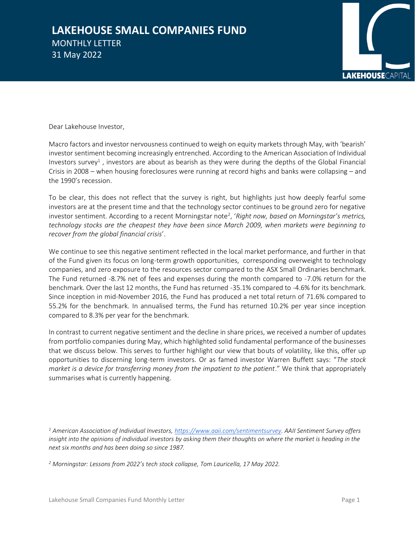## **LAKEHOUSE SMALL COMPANIES FUND**  MONTHLY LETTER 31 May 2022



Dear Lakehouse Investor,

Macro factors and investor nervousness continued to weigh on equity markets through May, with 'bearish' investor sentiment becoming increasingly entrenched. According to the American Association of Individual Investors survey<sup>1</sup>, investors are about as bearish as they were during the depths of the Global Financial Crisis in 2008 – when housing foreclosures were running at record highs and banks were collapsing – and the 1990's recession.

To be clear, this does not reflect that the survey is right, but highlights just how deeply fearful some investors are at the present time and that the technology sector continues to be ground zero for negative investor sentiment. According to a recent Morningstar note<sup>2</sup>, 'Right now, based on Morningstar's metrics, *technology stocks are the cheapest they have been since March 2009, when markets were beginning to recover from the global financial crisis*'.

We continue to see this negative sentiment reflected in the local market performance, and further in that of the Fund given its focus on long-term growth opportunities, corresponding overweight to technology companies, and zero exposure to the resources sector compared to the ASX Small Ordinaries benchmark. The Fund returned -8.7% net of fees and expenses during the month compared to -7.0% return for the benchmark. Over the last 12 months, the Fund has returned -35.1% compared to -4.6% for its benchmark. Since inception in mid-November 2016, the Fund has produced a net total return of 71.6% compared to 55.2% for the benchmark. In annualised terms, the Fund has returned 10.2% per year since inception compared to 8.3% per year for the benchmark.

In contrast to current negative sentiment and the decline in share prices, we received a number of updates from portfolio companies during May, which highlighted solid fundamental performance of the businesses that we discuss below. This serves to further highlight our view that bouts of volatility, like this, offer up opportunities to discerning long-term investors. Or as famed investor Warren Buffett says: "*The stock market is a device for transferring money from the impatient to the patient*." We think that appropriately summarises what is currently happening.

*<sup>1</sup> American Association of Individual Investors[, https://www.aaii.com/sentimentsurvey.](https://www.aaii.com/sentimentsurvey) AAII Sentiment Survey offers insight into the opinions of individual investors by asking them their thoughts on where the market is heading in the next six months and has been doing so since 1987.*

*<sup>2</sup> Morningstar: Lessons from 2022's tech stock collapse, Tom Lauricella, 17 May 2022.*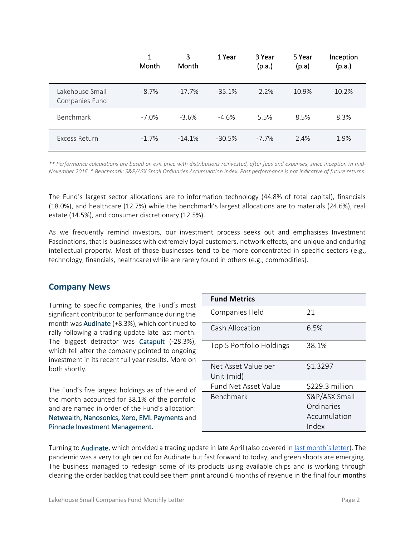|                                   | 1<br>Month | 3<br><b>Month</b> | 1 Year   | 3 Year<br>(p.a.) | 5 Year<br>(p.a) | Inception<br>(p.a.) |
|-----------------------------------|------------|-------------------|----------|------------------|-----------------|---------------------|
| Lakehouse Small<br>Companies Fund | $-8.7%$    | $-17.7\%$         | $-35.1%$ | $-2.2%$          | 10.9%           | 10.2%               |
| <b>Benchmark</b>                  | $-7.0%$    | $-3.6%$           | $-4.6%$  | 5.5%             | 8.5%            | 8.3%                |
| <b>Excess Return</b>              | $-1.7%$    | $-14.1%$          | $-30.5%$ | $-7.7\%$         | 2.4%            | 1.9%                |

*\*\* Performance calculations are based on exit price with distributions reinvested, after fees and expenses, since inception in mid-November 2016. \* Benchmark: S&P/ASX Small Ordinaries Accumulation Index. Past performance is not indicative of future returns.*

The Fund's largest sector allocations are to information technology (44.8% of total capital), financials (18.0%), and healthcare (12.7%) while the benchmark's largest allocations are to materials (24.6%), real estate (14.5%), and consumer discretionary (12.5%).

As we frequently remind investors, our investment process seeks out and emphasises Investment Fascinations, that is businesses with extremely loyal customers, network effects, and unique and enduring intellectual property. Most of those businesses tend to be more concentrated in specific sectors (e.g., technology, financials, healthcare) while are rarely found in others (e.g., commodities).

## **Company News**

Turning to specific companies, the Fund's most significant contributor to performance during the month was Audinate (+8.3%), which continued to rally following a trading update late last month. The biggest detractor was Catapult (-28.3%), which fell after the company pointed to ongoing investment in its recent full year results. More on both shortly.

The Fund's five largest holdings as of the end of the month accounted for 38.1% of the portfolio and are named in order of the Fund's allocation: Netwealth, Nanosonics, Xero, EML Payments and Pinnacle Investment Management.

| <b>Fund Metrics</b>         |                 |  |  |
|-----------------------------|-----------------|--|--|
| Companies Held              | 21              |  |  |
| Cash Allocation             | 6.5%            |  |  |
| Top 5 Portfolio Holdings    | 38.1%           |  |  |
| Net Asset Value per         | \$1.3297        |  |  |
| Unit (mid)                  |                 |  |  |
| <b>Fund Net Asset Value</b> | \$229.3 million |  |  |
| Benchmark                   | S&P/ASX Small   |  |  |
|                             | Ordinaries      |  |  |
|                             | Accumulation    |  |  |
|                             | Index           |  |  |

Turning to Audinate, which provided a trading update in late April (also covered in [last month's letter](https://www.lakehousecapital.com.au/wp-content/uploads/2022/05/LSCF-April-2022-Monthly-Letter.pdf)). The pandemic was a very tough period for Audinate but fast forward to today, and green shoots are emerging. The business managed to redesign some of its products using available chips and is working through clearing the order backlog that could see them print around 6 months of revenue in the final four months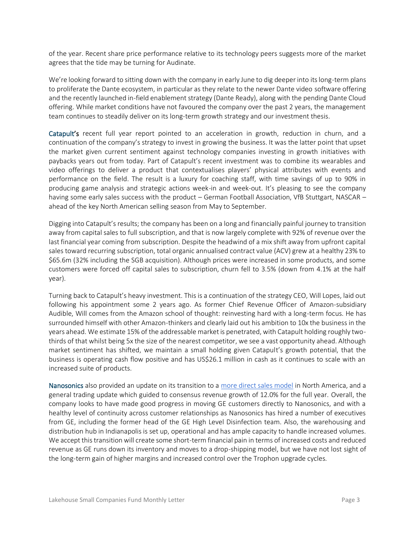of the year. Recent share price performance relative to its technology peers suggests more of the market agrees that the tide may be turning for Audinate.

We're looking forward to sitting down with the company in early June to dig deeper into its long-term plans to proliferate the Dante ecosystem, in particular as they relate to the newer Dante video software offering and the recently launched in-field enablement strategy (Dante Ready), along with the pending Dante Cloud offering. While market conditions have not favoured the company over the past 2 years, the management team continues to steadily deliver on its long-term growth strategy and our investment thesis.

Catapult's recent full year report pointed to an acceleration in growth, reduction in churn, and a continuation of the company's strategy to invest in growing the business. It was the latter point that upset the market given current sentiment against technology companies investing in growth initiatives with paybacks years out from today. Part of Catapult's recent investment was to combine its wearables and video offerings to deliver a product that contextualises players' physical attributes with events and performance on the field. The result is a luxury for coaching staff, with time savings of up to 90% in producing game analysis and strategic actions week-in and week-out. It's pleasing to see the company having some early sales success with the product – German Football Association, VfB Stuttgart, NASCAR – ahead of the key North American selling season from May to September.

Digging into Catapult's results; the company has been on a long and financially painful journey to transition away from capital sales to full subscription, and that is now largely complete with 92% of revenue over the last financial year coming from subscription. Despite the headwind of a mix shift away from upfront capital sales toward recurring subscription, total organic annualised contract value (ACV) grew at a healthy 23% to \$65.6m (32% including the SGB acquisition). Although prices were increased in some products, and some customers were forced off capital sales to subscription, churn fell to 3.5% (down from 4.1% at the half year).

Turning back to Catapult's heavy investment. This is a continuation of the strategy CEO, Will Lopes, laid out following his appointment some 2 years ago. As former Chief Revenue Officer of Amazon-subsidiary Audible, Will comes from the Amazon school of thought: reinvesting hard with a long-term focus. He has surrounded himself with other Amazon-thinkers and clearly laid out his ambition to 10x the business in the years ahead. We estimate 15% of the addressable market is penetrated, with Catapult holding roughly twothirds of that whilst being 5x the size of the nearest competitor, we see a vast opportunity ahead. Although market sentiment has shifted, we maintain a small holding given Catapult's growth potential, that the business is operating cash flow positive and has US\$26.1 million in cash as it continues to scale with an increased suite of products.

Nanosonics also provided an update on its transition to a [more direct sales model](https://www.lakehousecapital.com.au/wp-content/uploads/2022/03/LSCF-February-2022-Monthly-Letter.pdf) in North America, and a general trading update which guided to consensus revenue growth of 12.0% for the full year. Overall, the company looks to have made good progress in moving GE customers directly to Nanosonics, and with a healthy level of continuity across customer relationships as Nanosonics has hired a number of executives from GE, including the former head of the GE High Level Disinfection team. Also, the warehousing and distribution hub in Indianapolis is set up, operational and has ample capacity to handle increased volumes. We accept this transition will create some short-term financial pain in terms of increased costs and reduced revenue as GE runs down its inventory and moves to a drop-shipping model, but we have not lost sight of the long-term gain of higher margins and increased control over the Trophon upgrade cycles.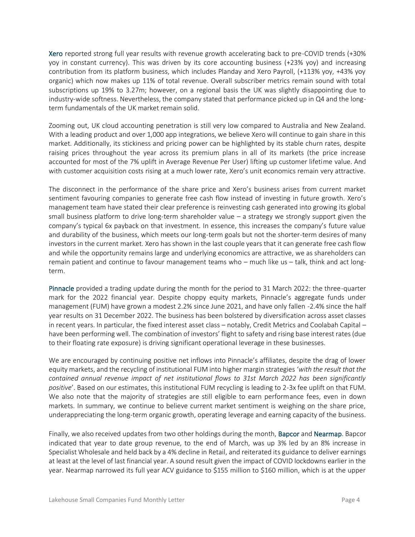Xero reported strong full year results with revenue growth accelerating back to pre-COVID trends (+30% yoy in constant currency). This was driven by its core accounting business (+23% yoy) and increasing contribution from its platform business, which includes Planday and Xero Payroll, (+113% yoy, +43% yoy organic) which now makes up 11% of total revenue. Overall subscriber metrics remain sound with total subscriptions up 19% to 3.27m; however, on a regional basis the UK was slightly disappointing due to industry-wide softness. Nevertheless, the company stated that performance picked up in Q4 and the longterm fundamentals of the UK market remain solid.

Zooming out, UK cloud accounting penetration is still very low compared to Australia and New Zealand. With a leading product and over 1,000 app integrations, we believe Xero will continue to gain share in this market. Additionally, its stickiness and pricing power can be highlighted by its stable churn rates, despite raising prices throughout the year across its premium plans in all of its markets (the price increase accounted for most of the 7% uplift in Average Revenue Per User) lifting up customer lifetime value. And with customer acquisition costs rising at a much lower rate, Xero's unit economics remain very attractive.

The disconnect in the performance of the share price and Xero's business arises from current market sentiment favouring companies to generate free cash flow instead of investing in future growth. Xero's management team have stated their clear preference is reinvesting cash generated into growing its global small business platform to drive long-term shareholder value – a strategy we strongly support given the company's typical 6x payback on that investment. In essence, this increases the company's future value and durability of the business, which meets our long-term goals but not the shorter-term desires of many investors in the current market. Xero has shown in the last couple years that it can generate free cash flow and while the opportunity remains large and underlying economics are attractive, we as shareholders can remain patient and continue to favour management teams who – much like us – talk, think and act longterm.

Pinnacle provided a trading update during the month for the period to 31 March 2022: the three-quarter mark for the 2022 financial year. Despite choppy equity markets, Pinnacle's aggregate funds under management (FUM) have grown a modest 2.2% since June 2021, and have only fallen -2.4% since the half year results on 31 December 2022. The business has been bolstered by diversification across asset classes in recent years. In particular, the fixed interest asset class – notably, Credit Metrics and Coolabah Capital – have been performing well. The combination of investors' flight to safety and rising base interest rates (due to their floating rate exposure) is driving significant operational leverage in these businesses.

We are encouraged by continuing positive net inflows into Pinnacle's affiliates, despite the drag of lower equity markets, and the recycling of institutional FUM into higher margin strategies '*with the result that the contained annual revenue impact of net institutional flows to 31st March 2022 has been significantly positive*'. Based on our estimates, this institutional FUM recycling is leading to 2-3x fee uplift on that FUM. We also note that the majority of strategies are still eligible to earn performance fees, even in down markets. In summary, we continue to believe current market sentiment is weighing on the share price, underappreciating the long-term organic growth, operating leverage and earning capacity of the business.

Finally, we also received updates from two other holdings during the month, Bapcor and Nearmap. Bapcor indicated that year to date group revenue, to the end of March, was up 3% led by an 8% increase in Specialist Wholesale and held back by a 4% decline in Retail, and reiterated its guidance to deliver earnings at least at the level of last financial year. A sound result given the impact of COVID lockdowns earlier in the year. Nearmap narrowed its full year ACV guidance to \$155 million to \$160 million, which is at the upper